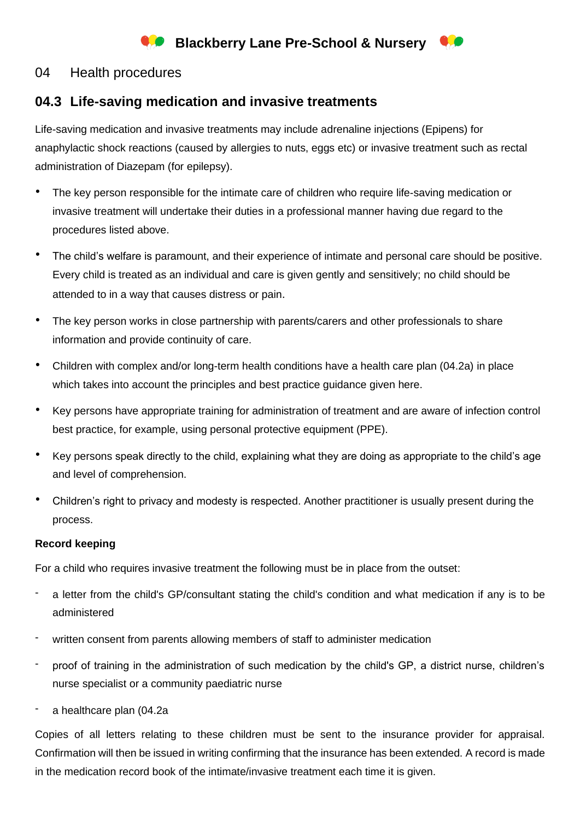# **Blackberry Lane Pre-School & Nursery**

### 04 Health procedures

## **04.3 Life-saving medication and invasive treatments**

Life-saving medication and invasive treatments may include adrenaline injections (Epipens) for anaphylactic shock reactions (caused by allergies to nuts, eggs etc) or invasive treatment such as rectal administration of Diazepam (for epilepsy).

- The key person responsible for the intimate care of children who require life-saving medication or invasive treatment will undertake their duties in a professional manner having due regard to the procedures listed above.
- The child's welfare is paramount, and their experience of intimate and personal care should be positive. Every child is treated as an individual and care is given gently and sensitively; no child should be attended to in a way that causes distress or pain.
- The key person works in close partnership with parents/carers and other professionals to share information and provide continuity of care.
- Children with complex and/or long-term health conditions have a health care plan (04.2a) in place which takes into account the principles and best practice guidance given here.
- Key persons have appropriate training for administration of treatment and are aware of infection control best practice, for example, using personal protective equipment (PPE).
- Key persons speak directly to the child, explaining what they are doing as appropriate to the child's age and level of comprehension.
- Children's right to privacy and modesty is respected. Another practitioner is usually present during the process.

#### **Record keeping**

For a child who requires invasive treatment the following must be in place from the outset:

- a letter from the child's GP/consultant stating the child's condition and what medication if any is to be administered
- written consent from parents allowing members of staff to administer medication
- proof of training in the administration of such medication by the child's GP, a district nurse, children's nurse specialist or a community paediatric nurse
- a healthcare plan (04.2a

Copies of all letters relating to these children must be sent to the insurance provider for appraisal. Confirmation will then be issued in writing confirming that the insurance has been extended. A record is made in the medication record book of the intimate/invasive treatment each time it is given.